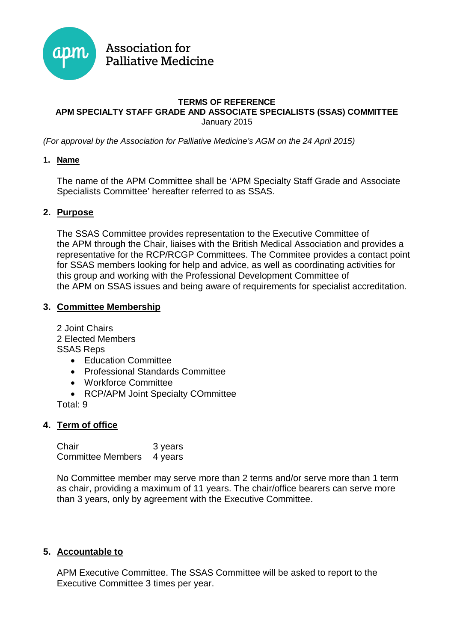

# **Association for Palliative Medicine**

#### **TERMS OF REFERENCE APM SPECIALTY STAFF GRADE AND ASSOCIATE SPECIALISTS (SSAS) COMMITTEE**  January 2015

(For approval by the Association for Palliative Medicine's AGM on the 24 April 2015)

#### **1. Name**

The name of the APM Committee shall be 'APM Specialty Staff Grade and Associate Specialists Committee' hereafter referred to as SSAS.

# **2. Purpose**

The SSAS Committee provides representation to the Executive Committee of the APM through the Chair, liaises with the British Medical Association and provides a representative for the RCP/RCGP Committees. The Commitee provides a contact point for SSAS members looking for help and advice, as well as coordinating activities for this group and working with the Professional Development Committee of the APM on SSAS issues and being aware of requirements for specialist accreditation.

# **3. Committee Membership**

2 Joint Chairs 2 Elected Members SSAS Reps

- � Education Committee
- � Professional Standards Committee
- � Workforce Committee
- � RCP/APM Joint Specialty COmmittee

Total: 9

# **4. Term of office**

Chair 3 years Committee Members 4 years

No Committee member may serve more than 2 terms and/or serve more than 1 term as chair, providing a maximum of 11 years. The chair/office bearers can serve more than 3 years, only by agreement with the Executive Committee.

# **5. Accountable to**

APM Executive Committee. The SSAS Committee will be asked to report to the Executive Committee 3 times per year.